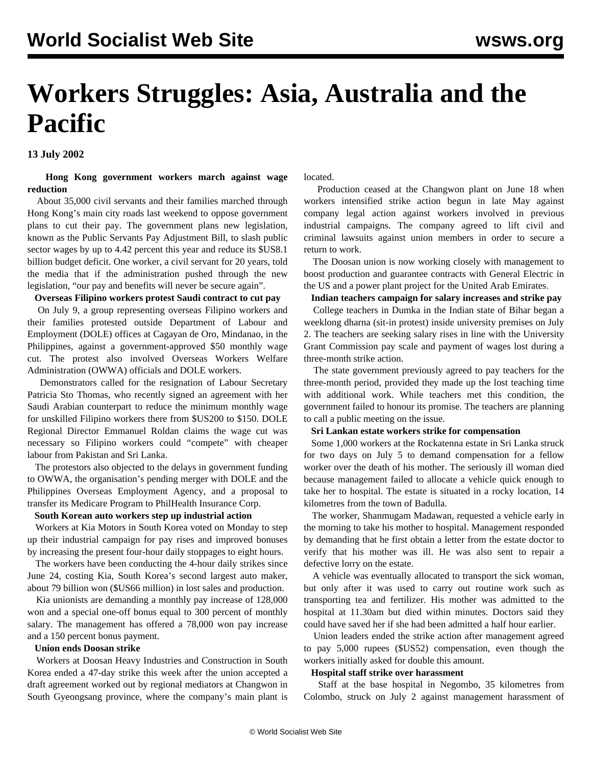# **Workers Struggles: Asia, Australia and the Pacific**

**13 July 2002**

#### **Hong Kong government workers march against wage reduction**

 About 35,000 civil servants and their families marched through Hong Kong's main city roads last weekend to oppose government plans to cut their pay. The government plans new legislation, known as the Public Servants Pay Adjustment Bill, to slash public sector wages by up to 4.42 percent this year and reduce its \$US8.1 billion budget deficit. One worker, a civil servant for 20 years, told the media that if the administration pushed through the new legislation, "our pay and benefits will never be secure again".

#### **Overseas Filipino workers protest Saudi contract to cut pay**

 On July 9, a group representing overseas Filipino workers and their families protested outside Department of Labour and Employment (DOLE) offices at Cagayan de Oro, Mindanao, in the Philippines, against a government-approved \$50 monthly wage cut. The protest also involved Overseas Workers Welfare Administration (OWWA) officials and DOLE workers.

 Demonstrators called for the resignation of Labour Secretary Patricia Sto Thomas, who recently signed an agreement with her Saudi Arabian counterpart to reduce the minimum monthly wage for unskilled Filipino workers there from \$US200 to \$150. DOLE Regional Director Emmanuel Roldan claims the wage cut was necessary so Filipino workers could "compete" with cheaper labour from Pakistan and Sri Lanka.

 The protestors also objected to the delays in government funding to OWWA, the organisation's pending merger with DOLE and the Philippines Overseas Employment Agency, and a proposal to transfer its Medicare Program to PhilHealth Insurance Corp.

#### **South Korean auto workers step up industrial action**

 Workers at Kia Motors in South Korea voted on Monday to step up their industrial campaign for pay rises and improved bonuses by increasing the present four-hour daily stoppages to eight hours.

 The workers have been conducting the 4-hour daily strikes since June 24, costing Kia, South Korea's second largest auto maker, about 79 billion won (\$US66 million) in lost sales and production.

 Kia unionists are demanding a monthly pay increase of 128,000 won and a special one-off bonus equal to 300 percent of monthly salary. The management has offered a 78,000 won pay increase and a 150 percent bonus payment.

#### **Union ends Doosan strike**

 Workers at Doosan Heavy Industries and Construction in South Korea ended a 47-day strike this week after the union accepted a draft agreement worked out by regional mediators at Changwon in South Gyeongsang province, where the company's main plant is located.

 Production ceased at the Changwon plant on June 18 when workers intensified strike action begun in late May against company legal action against workers involved in previous industrial campaigns. The company agreed to lift civil and criminal lawsuits against union members in order to secure a return to work.

 The Doosan union is now working closely with management to boost production and guarantee contracts with General Electric in the US and a power plant project for the United Arab Emirates.

#### **Indian teachers campaign for salary increases and strike pay**

 College teachers in Dumka in the Indian state of Bihar began a weeklong dharna (sit-in protest) inside university premises on July 2. The teachers are seeking salary rises in line with the University Grant Commission pay scale and payment of wages lost during a three-month strike action.

 The state government previously agreed to pay teachers for the three-month period, provided they made up the lost teaching time with additional work. While teachers met this condition, the government failed to honour its promise. The teachers are planning to call a public meeting on the issue.

#### **Sri Lankan estate workers strike for compensation**

 Some 1,000 workers at the Rockatenna estate in Sri Lanka struck for two days on July 5 to demand compensation for a fellow worker over the death of his mother. The seriously ill woman died because management failed to allocate a vehicle quick enough to take her to hospital. The estate is situated in a rocky location, 14 kilometres from the town of Badulla.

 The worker, Shanmugam Madawan, requested a vehicle early in the morning to take his mother to hospital. Management responded by demanding that he first obtain a letter from the estate doctor to verify that his mother was ill. He was also sent to repair a defective lorry on the estate.

 A vehicle was eventually allocated to transport the sick woman, but only after it was used to carry out routine work such as transporting tea and fertilizer. His mother was admitted to the hospital at 11.30am but died within minutes. Doctors said they could have saved her if she had been admitted a half hour earlier.

 Union leaders ended the strike action after management agreed to pay 5,000 rupees (\$US52) compensation, even though the workers initially asked for double this amount.

#### **Hospital staff strike over harassment**

 Staff at the base hospital in Negombo, 35 kilometres from Colombo, struck on July 2 against management harassment of